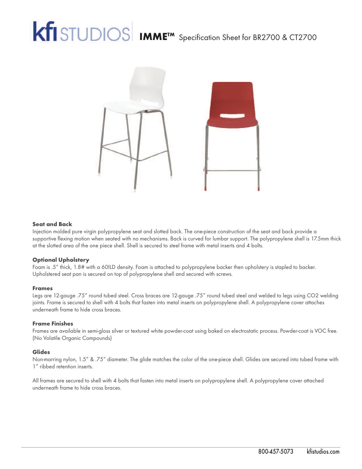# **IMME<sup>TM</sup>** Specification Sheet for BR2700 & CT2700



#### **Seat and Back**

Injection molded pure virgin polypropylene seat and slotted back. The one-piece construction of the seat and back provide a supportive flexing motion when seated with no mechanisms. Back is curved for lumbar support. The polypropylene shell is 17.5mm thick at the slotted area of the one piece shell. Shell is secured to steel frame with metal inserts and 4 bolts.

#### **Optional Upholstery**

Foam is .5" thick, 1.8# with a 60ILD density. Foam is attached to polypropylene backer then upholstery is stapled to backer. Upholstered seat pan is secured on top of polypropylene shell and secured with screws.

#### **Frames**

Legs are 12-gauge .75" round tubed steel. Cross braces are 12-gauge .75" round tubed steel and welded to legs using CO2 welding joints. Frame is secured to shell with 4 bolts that fasten into metal inserts on polypropylene shell. A polypropylene cover attaches underneath frame to hide cross braces.

#### **Frame Finishes**

Frames are available in semi-gloss silver or textured white powder-coat using baked on electrostatic process. Powder-coat is VOC free. (No Volatile Organic Compounds)

#### **Glides**

Non-marring nylon, 1.5" & .75" diameter. The glide matches the color of the one-piece shell. Glides are secured into tubed frame with 1" ribbed retention inserts.

All frames are secured to shell with 4 bolts that fasten into metal inserts on polypropylene shell. A polypropylene cover attached underneath frame to hide cross braces.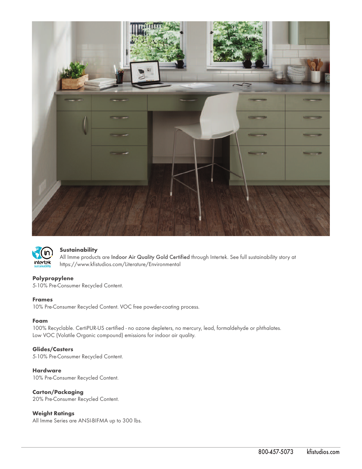



#### **Sustainability**

All Imme products are Indoor Air Quality Gold Certified through Intertek. See full sustainability story at https://www.kfistudios.com/Literature/Environmental

#### **Polypropylene**

5-10% Pre-Consumer Recycled Content.

#### **Frames**

10% Pre-Consumer Recycled Content. VOC free powder-coating process.

#### **Foam**

100% Recyclable. CertiPUR-US certified - no ozone depleters, no mercury, lead, formaldehyde or phthalates. Low VOC (Volatile Organic compound) emissions for indoor air quality.

#### **Glides/Casters**

5-10% Pre-Consumer Recycled Content.

#### **Hardware**

10% Pre-Consumer Recycled Content.

### **Carton/Packaging**

20% Pre-Consumer Recycled Content.

### **Weight Ratings**

All Imme Series are ANSI-BIFMA up to 300 lbs.